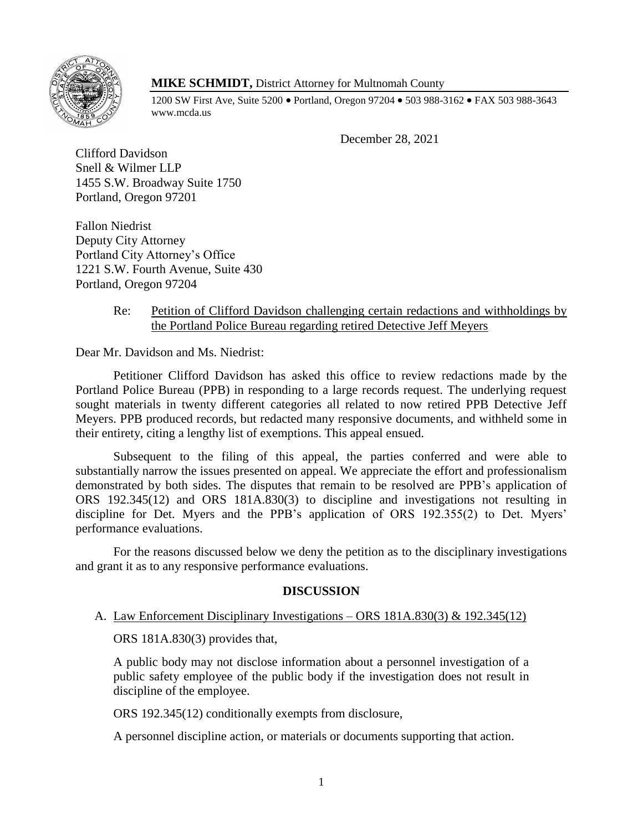

# **MIKE SCHMIDT,** District Attorney for Multnomah County

1200 SW First Ave, Suite 5200 • Portland, Oregon 97204 • 503 988-3162 • FAX 503 988-3643 www.mcda.us

December 28, 2021

Clifford Davidson Snell & Wilmer LLP 1455 S.W. Broadway Suite 1750 Portland, Oregon 97201

Fallon Niedrist Deputy City Attorney Portland City Attorney's Office 1221 S.W. Fourth Avenue, Suite 430 Portland, Oregon 97204

### Re: Petition of Clifford Davidson challenging certain redactions and withholdings by the Portland Police Bureau regarding retired Detective Jeff Meyers

Dear Mr. Davidson and Ms. Niedrist:

Petitioner Clifford Davidson has asked this office to review redactions made by the Portland Police Bureau (PPB) in responding to a large records request. The underlying request sought materials in twenty different categories all related to now retired PPB Detective Jeff Meyers. PPB produced records, but redacted many responsive documents, and withheld some in their entirety, citing a lengthy list of exemptions. This appeal ensued.

Subsequent to the filing of this appeal, the parties conferred and were able to substantially narrow the issues presented on appeal. We appreciate the effort and professionalism demonstrated by both sides. The disputes that remain to be resolved are PPB's application of ORS 192.345(12) and ORS 181A.830(3) to discipline and investigations not resulting in discipline for Det. Myers and the PPB's application of ORS 192.355(2) to Det. Myers' performance evaluations.

For the reasons discussed below we deny the petition as to the disciplinary investigations and grant it as to any responsive performance evaluations.

# **DISCUSSION**

# A. Law Enforcement Disciplinary Investigations – ORS 181A.830(3) & 192.345(12)

ORS 181A.830(3) provides that,

A public body may not disclose information about a personnel investigation of a public safety employee of the public body if the investigation does not result in discipline of the employee.

ORS 192.345(12) conditionally exempts from disclosure,

A personnel discipline action, or materials or documents supporting that action.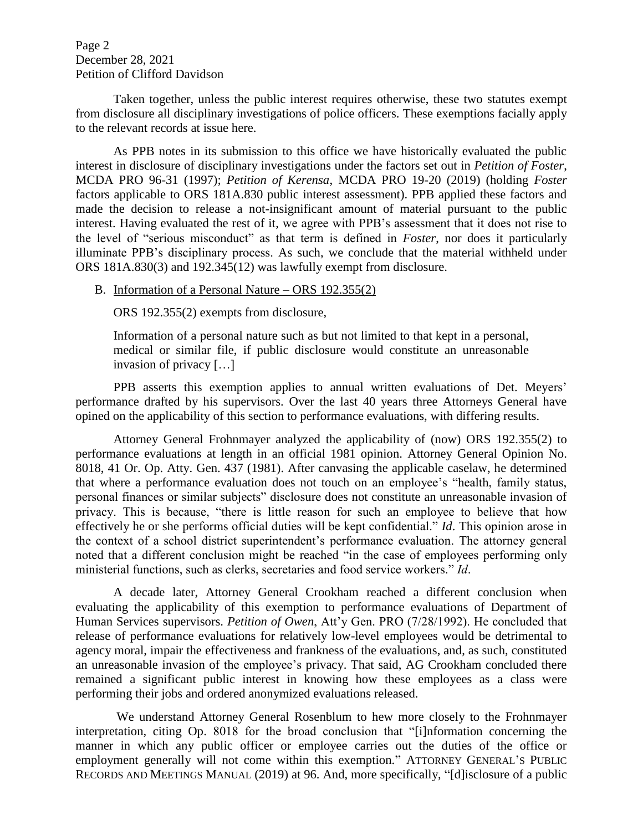Page 2 December 28, 2021 Petition of Clifford Davidson

Taken together, unless the public interest requires otherwise, these two statutes exempt from disclosure all disciplinary investigations of police officers. These exemptions facially apply to the relevant records at issue here.

As PPB notes in its submission to this office we have historically evaluated the public interest in disclosure of disciplinary investigations under the factors set out in *Petition of Foster*, MCDA PRO 96-31 (1997); *Petition of Kerensa*, MCDA PRO 19-20 (2019) (holding *Foster* factors applicable to ORS 181A.830 public interest assessment). PPB applied these factors and made the decision to release a not-insignificant amount of material pursuant to the public interest. Having evaluated the rest of it, we agree with PPB's assessment that it does not rise to the level of "serious misconduct" as that term is defined in *Foster*, nor does it particularly illuminate PPB's disciplinary process. As such, we conclude that the material withheld under ORS 181A.830(3) and 192.345(12) was lawfully exempt from disclosure.

#### B. Information of a Personal Nature – ORS 192.355(2)

ORS 192.355(2) exempts from disclosure,

Information of a personal nature such as but not limited to that kept in a personal, medical or similar file, if public disclosure would constitute an unreasonable invasion of privacy […]

PPB asserts this exemption applies to annual written evaluations of Det. Meyers' performance drafted by his supervisors. Over the last 40 years three Attorneys General have opined on the applicability of this section to performance evaluations, with differing results.

Attorney General Frohnmayer analyzed the applicability of (now) ORS 192.355(2) to performance evaluations at length in an official 1981 opinion. Attorney General Opinion No. 8018, 41 Or. Op. Atty. Gen. 437 (1981). After canvasing the applicable caselaw, he determined that where a performance evaluation does not touch on an employee's "health, family status, personal finances or similar subjects" disclosure does not constitute an unreasonable invasion of privacy. This is because, "there is little reason for such an employee to believe that how effectively he or she performs official duties will be kept confidential." *Id*. This opinion arose in the context of a school district superintendent's performance evaluation. The attorney general noted that a different conclusion might be reached "in the case of employees performing only ministerial functions, such as clerks, secretaries and food service workers." *Id*.

A decade later, Attorney General Crookham reached a different conclusion when evaluating the applicability of this exemption to performance evaluations of Department of Human Services supervisors. *Petition of Owen*, Att'y Gen. PRO (7/28/1992). He concluded that release of performance evaluations for relatively low-level employees would be detrimental to agency moral, impair the effectiveness and frankness of the evaluations, and, as such, constituted an unreasonable invasion of the employee's privacy. That said, AG Crookham concluded there remained a significant public interest in knowing how these employees as a class were performing their jobs and ordered anonymized evaluations released.

We understand Attorney General Rosenblum to hew more closely to the Frohnmayer interpretation, citing Op. 8018 for the broad conclusion that "[i]nformation concerning the manner in which any public officer or employee carries out the duties of the office or employment generally will not come within this exemption." ATTORNEY GENERAL'S PUBLIC RECORDS AND MEETINGS MANUAL (2019) at 96. And, more specifically, "[d]isclosure of a public